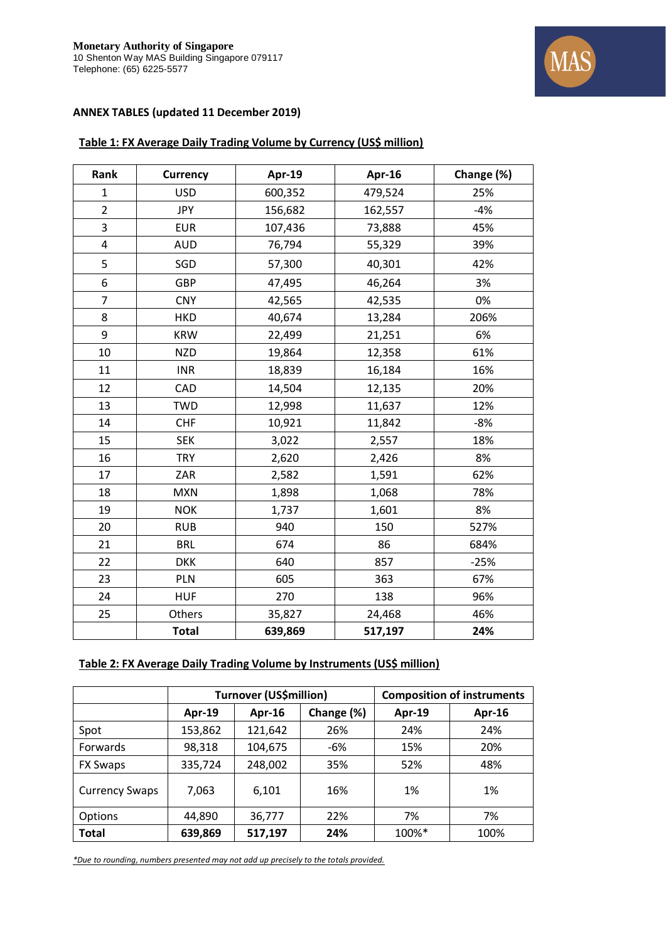

## **ANNEX TABLES (updated 11 December 2019)**

## **Table 1: FX Average Daily Trading Volume by Currency (US\$ million)**

| Rank           | <b>Currency</b> | Apr-19  | Apr-16  | Change (%) |
|----------------|-----------------|---------|---------|------------|
| $\mathbf{1}$   | <b>USD</b>      | 600,352 | 479,524 | 25%        |
| $\overline{2}$ | <b>JPY</b>      | 156,682 | 162,557 | $-4%$      |
| 3              | <b>EUR</b>      | 107,436 | 73,888  | 45%        |
| 4              | <b>AUD</b>      | 76,794  | 55,329  | 39%        |
| 5              | SGD             | 57,300  | 40,301  | 42%        |
| 6              | GBP             | 47,495  | 46,264  | 3%         |
| $\overline{7}$ | <b>CNY</b>      | 42,565  | 42,535  | 0%         |
| 8              | <b>HKD</b>      | 40,674  | 13,284  | 206%       |
| 9              | <b>KRW</b>      | 22,499  | 21,251  | 6%         |
| 10             | <b>NZD</b>      | 19,864  | 12,358  | 61%        |
| 11             | <b>INR</b>      | 18,839  | 16,184  | 16%        |
| 12             | CAD             | 14,504  | 12,135  | 20%        |
| 13             | <b>TWD</b>      | 12,998  | 11,637  | 12%        |
| 14             | <b>CHF</b>      | 10,921  | 11,842  | $-8%$      |
| 15             | <b>SEK</b>      | 3,022   | 2,557   | 18%        |
| 16             | <b>TRY</b>      | 2,620   | 2,426   | 8%         |
| 17             | ZAR             | 2,582   | 1,591   | 62%        |
| 18             | <b>MXN</b>      | 1,898   | 1,068   | 78%        |
| 19             | <b>NOK</b>      | 1,737   | 1,601   | 8%         |
| 20             | <b>RUB</b>      | 940     | 150     | 527%       |
| 21             | <b>BRL</b>      | 674     | 86      | 684%       |
| 22             | <b>DKK</b>      | 640     | 857     | $-25%$     |
| 23             | PLN             | 605     | 363     | 67%        |
| 24             | <b>HUF</b>      | 270     | 138     | 96%        |
| 25             | Others          | 35,827  | 24,468  | 46%        |
|                | <b>Total</b>    | 639,869 | 517,197 | 24%        |

## **Table 2: FX Average Daily Trading Volume by Instruments (US\$ million)**

|                       | <b>Turnover (US\$million)</b> |         |            | <b>Composition of instruments</b> |        |
|-----------------------|-------------------------------|---------|------------|-----------------------------------|--------|
|                       | Apr-19                        | Apr-16  | Change (%) | Apr-19                            | Apr-16 |
| Spot                  | 153,862                       | 121,642 | 26%        | 24%                               | 24%    |
| Forwards              | 98,318                        | 104,675 | -6%        | 15%                               | 20%    |
| <b>FX Swaps</b>       | 335,724                       | 248,002 | 35%        | 52%                               | 48%    |
| <b>Currency Swaps</b> | 7,063                         | 6,101   | 16%        | 1%                                | 1%     |
| <b>Options</b>        | 44,890                        | 36,777  | 22%        | 7%                                | 7%     |
| <b>Total</b>          | 639,869                       | 517,197 | 24%        | 100%*                             | 100%   |

*\*Due to rounding, numbers presented may not add up precisely to the totals provided.*